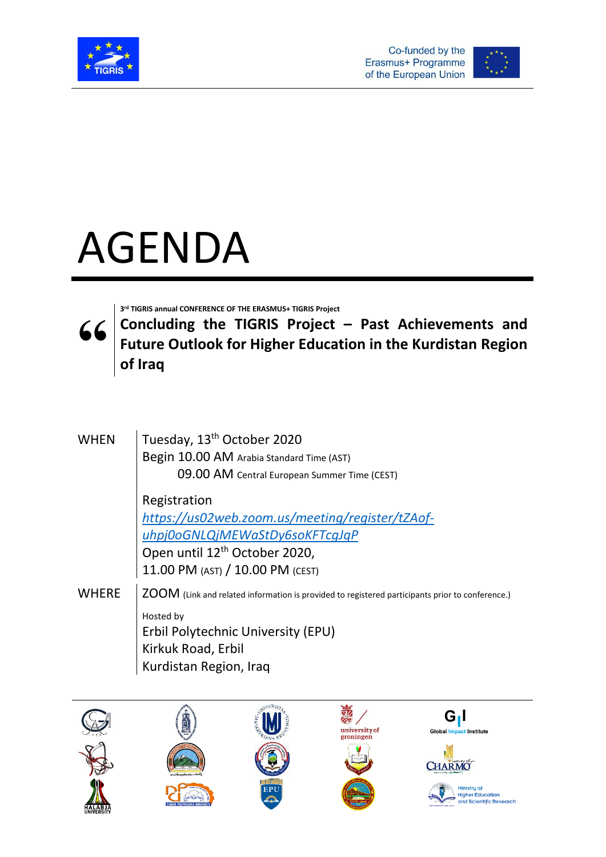



## AGENDA

**3 rd TIGRIS annual CONFERENCE OF THE ERASMUS+ TIGRIS Project**

**" Concluding the TIGRIS Project – Past Achievements and Future Outlook for Higher Education in the Kurdistan Region of Iraq**

| <b>WHEN</b>  | Tuesday, 13 <sup>th</sup> October 2020<br>Begin 10.00 AM Arabia Standard Time (AST)             |
|--------------|-------------------------------------------------------------------------------------------------|
|              | 09.00 AM Central European Summer Time (CEST)                                                    |
|              | Registration                                                                                    |
|              | https://us02web.zoom.us/meeting/register/tZAof-                                                 |
|              | uhpj0oGNLQjMEWaStDy6soKFTcqJqP                                                                  |
|              | Open until 12 <sup>th</sup> October 2020,                                                       |
|              | 11.00 PM (AST) / 10.00 PM (CEST)                                                                |
| <b>WHERE</b> | ZOOM (Link and related information is provided to registered participants prior to conference.) |
|              | Hosted by                                                                                       |
|              | Erbil Polytechnic University (EPU)                                                              |
|              | Kirkuk Road, Erbil                                                                              |
|              | Kurdistan Region, Iraq                                                                          |